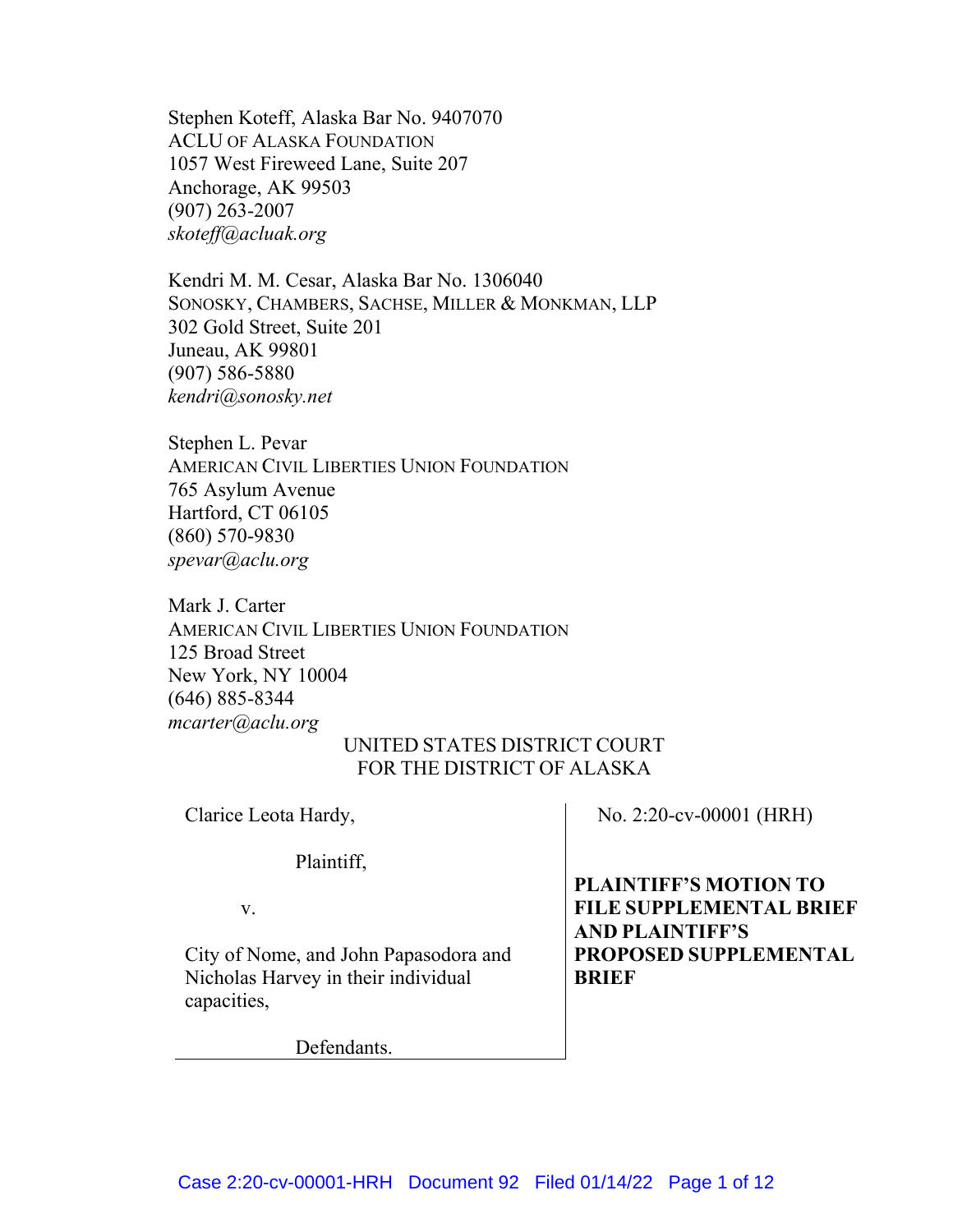Stephen Koteff, Alaska Bar No. 9407070 ACLU OF ALASKA FOUNDATION 1057 West Fireweed Lane, Suite 207 Anchorage, AK 99503 (907) 263-2007 *skoteff@acluak.org*

Kendri M. M. Cesar, Alaska Bar No. 1306040 SONOSKY, CHAMBERS, SACHSE, MILLER & MONKMAN, LLP 302 Gold Street, Suite 201 Juneau, AK 99801 (907) 586-5880 *kendri@sonosky.net*

Stephen L. Pevar AMERICAN CIVIL LIBERTIES UNION FOUNDATION 765 Asylum Avenue Hartford, CT 06105 (860) 570-9830 *spevar@aclu.org*

Mark J. Carter AMERICAN CIVIL LIBERTIES UNION FOUNDATION 125 Broad Street New York, NY 10004 (646) 885-8344 *[mcarter@aclu.org](mailto:mcarter@aclu.org)*

## UNITED STATES DISTRICT COURT FOR THE DISTRICT OF ALASKA

Clarice Leota Hardy,

Plaintiff,

v.

City of Nome, and John Papasodora and Nicholas Harvey in their individual capacities,

Defendants.

No. 2:20-cv-00001 (HRH)

**PLAINTIFF'S MOTION TO FILE SUPPLEMENTAL BRIEF AND PLAINTIFF'S PROPOSED SUPPLEMENTAL BRIEF**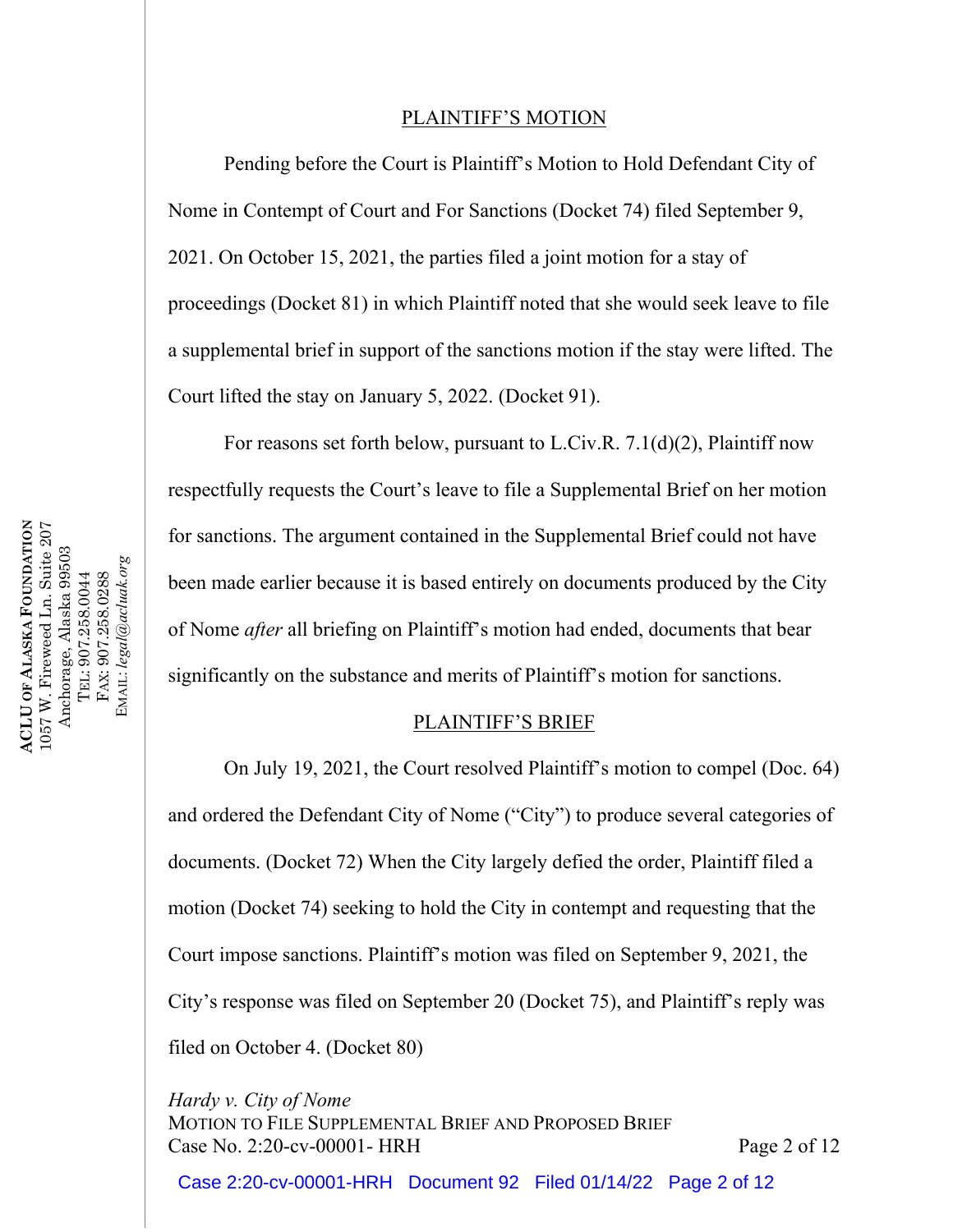## PLAINTIFF'S MOTION

Pending before the Court is Plaintiff's Motion to Hold Defendant City of Nome in Contempt of Court and For Sanctions (Docket 74) filed September 9, 2021. On October 15, 2021, the parties filed a joint motion for a stay of proceedings (Docket 81) in which Plaintiff noted that she would seek leave to file a supplemental brief in support of the sanctions motion if the stay were lifted. The Court lifted the stay on January 5, 2022. (Docket 91).

For reasons set forth below, pursuant to L.Civ.R. 7.1(d)(2), Plaintiff now respectfully requests the Court's leave to file a Supplemental Brief on her motion for sanctions. The argument contained in the Supplemental Brief could not have been made earlier because it is based entirely on documents produced by the City of Nome *after* all briefing on Plaintiff's motion had ended, documents that bear significantly on the substance and merits of Plaintiff's motion for sanctions.

## PLAINTIFF'S BRIEF

On July 19, 2021, the Court resolved Plaintiff's motion to compel (Doc. 64) and ordered the Defendant City of Nome ("City") to produce several categories of documents. (Docket 72) When the City largely defied the order, Plaintiff filed a motion (Docket 74) seeking to hold the City in contempt and requesting that the Court impose sanctions. Plaintiff's motion was filed on September 9, 2021, the City's response was filed on September 20 (Docket 75), and Plaintiff's reply was filed on October 4. (Docket 80)

*Hardy v. City of Nome* MOTION TO FILE SUPPLEMENTAL BRIEF AND PROPOSED BRIEF Case No. 2:20-cv-00001- HRH Page 2 of 12

Case 2:20-cv-00001-HRH Document 92 Filed 01/14/22 Page 2 of 12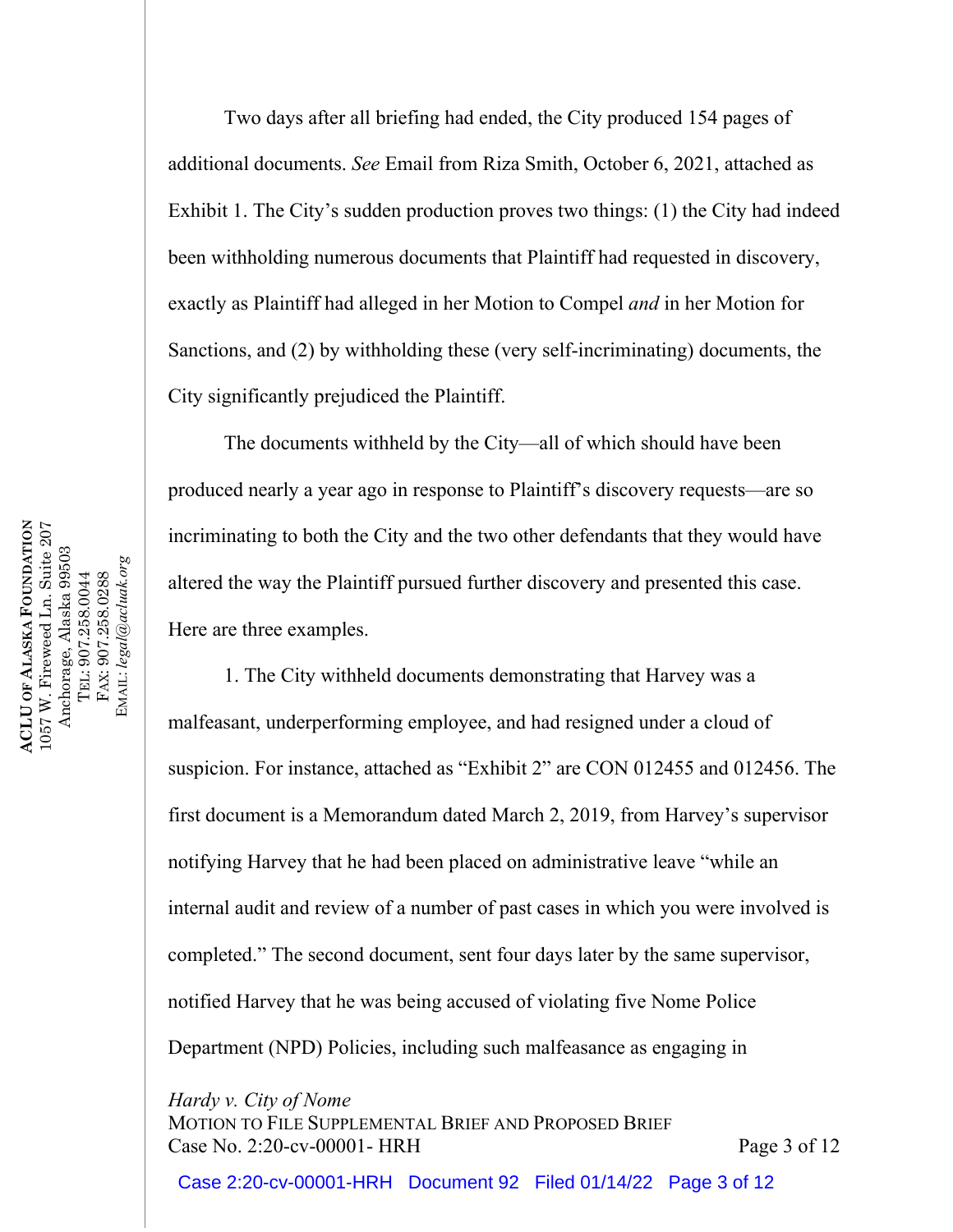Two days after all briefing had ended, the City produced 154 pages of additional documents. *See* Email from Riza Smith, October 6, 2021, attached as Exhibit 1. The City's sudden production proves two things: (1) the City had indeed been withholding numerous documents that Plaintiff had requested in discovery, exactly as Plaintiff had alleged in her Motion to Compel *and* in her Motion for Sanctions, and (2) by withholding these (very self-incriminating) documents, the City significantly prejudiced the Plaintiff.

The documents withheld by the City—all of which should have been produced nearly a year ago in response to Plaintiff's discovery requests—are so incriminating to both the City and the two other defendants that they would have altered the way the Plaintiff pursued further discovery and presented this case. Here are three examples.

1. The City withheld documents demonstrating that Harvey was a malfeasant, underperforming employee, and had resigned under a cloud of suspicion. For instance, attached as "Exhibit 2" are CON 012455 and 012456. The first document is a Memorandum dated March 2, 2019, from Harvey's supervisor notifying Harvey that he had been placed on administrative leave "while an internal audit and review of a number of past cases in which you were involved is completed." The second document, sent four days later by the same supervisor, notified Harvey that he was being accused of violating five Nome Police Department (NPD) Policies, including such malfeasance as engaging in

*Hardy v. City of Nome*

MOTION TO FILE SUPPLEMENTAL BRIEF AND PROPOSED BRIEF Case No. 2:20-cv-00001- HRH Page 3 of 12

Case 2:20-cv-00001-HRH Document 92 Filed 01/14/22 Page 3 of 12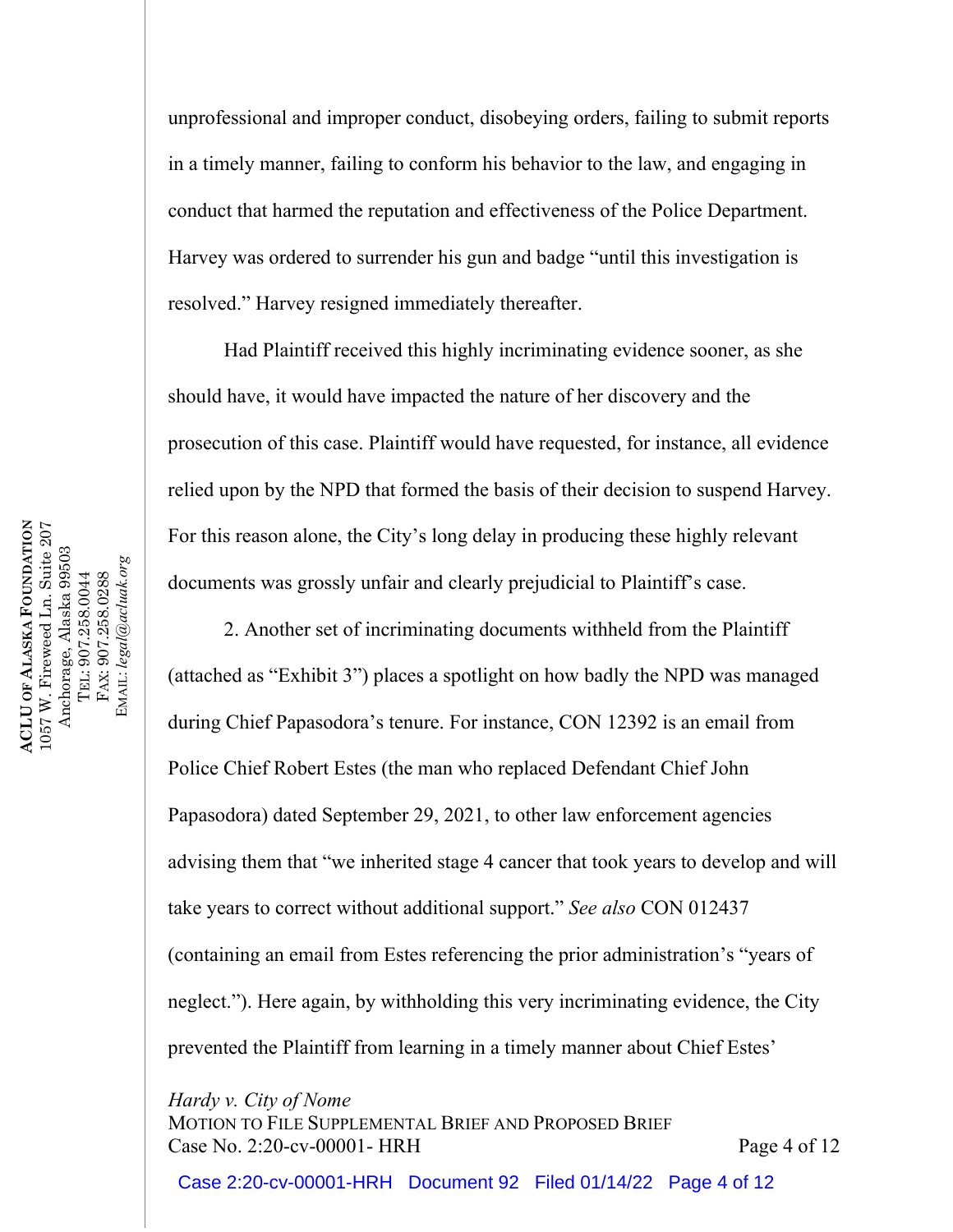unprofessional and improper conduct, disobeying orders, failing to submit reports in a timely manner, failing to conform his behavior to the law, and engaging in conduct that harmed the reputation and effectiveness of the Police Department. Harvey was ordered to surrender his gun and badge "until this investigation is resolved." Harvey resigned immediately thereafter.

Had Plaintiff received this highly incriminating evidence sooner, as she should have, it would have impacted the nature of her discovery and the prosecution of this case. Plaintiff would have requested, for instance, all evidence relied upon by the NPD that formed the basis of their decision to suspend Harvey. For this reason alone, the City's long delay in producing these highly relevant documents was grossly unfair and clearly prejudicial to Plaintiff's case.

2. Another set of incriminating documents withheld from the Plaintiff (attached as "Exhibit 3") places a spotlight on how badly the NPD was managed during Chief Papasodora's tenure. For instance, CON 12392 is an email from Police Chief Robert Estes (the man who replaced Defendant Chief John Papasodora) dated September 29, 2021, to other law enforcement agencies advising them that "we inherited stage 4 cancer that took years to develop and will take years to correct without additional support." *See also* CON 012437 (containing an email from Estes referencing the prior administration's "years of neglect."). Here again, by withholding this very incriminating evidence, the City prevented the Plaintiff from learning in a timely manner about Chief Estes'

*Hardy v. City of Nome*

MOTION TO FILE SUPPLEMENTAL BRIEF AND PROPOSED BRIEF Case No. 2:20-cv-00001- HRH Page 4 of 12

Case 2:20-cv-00001-HRH Document 92 Filed 01/14/22 Page 4 of 12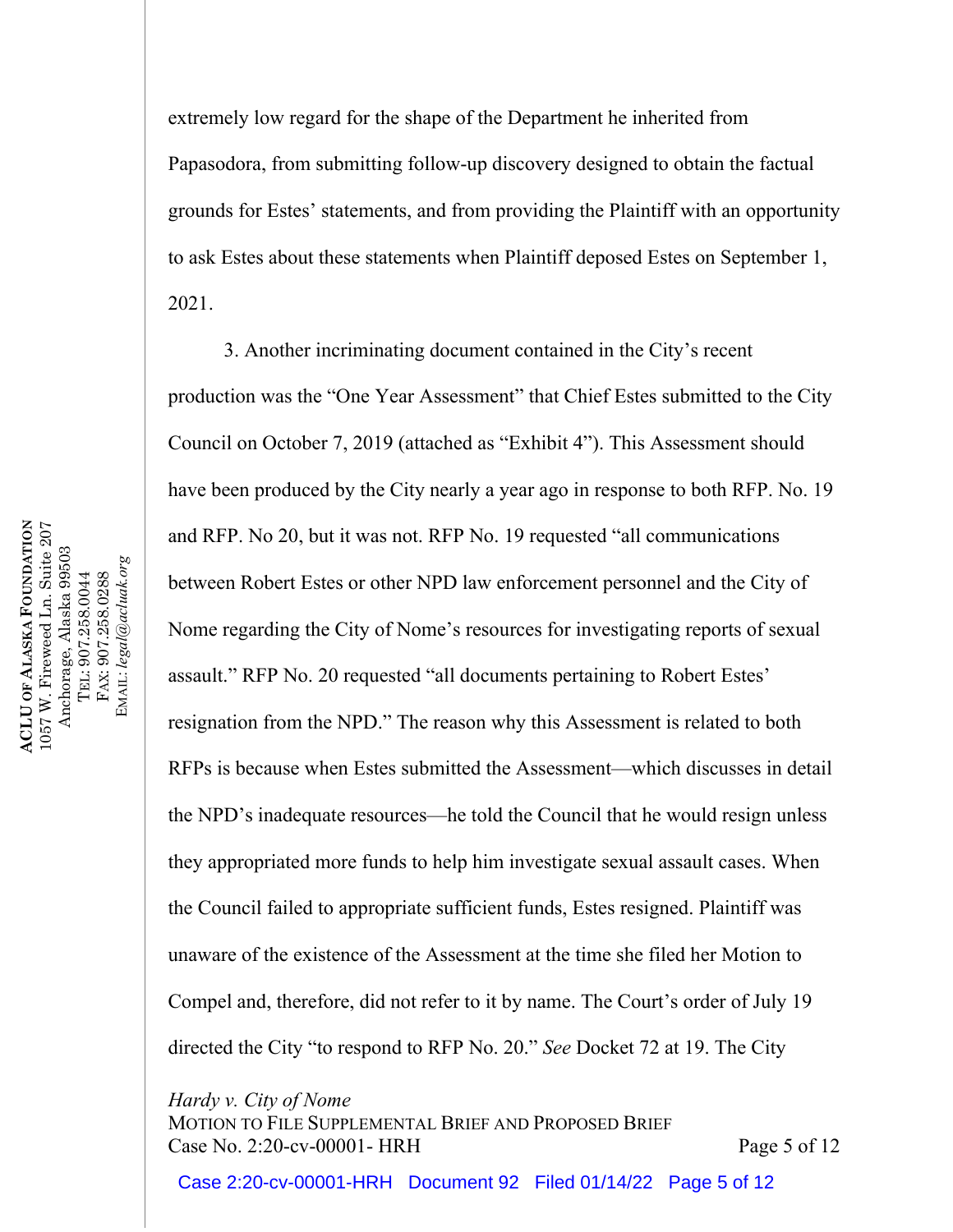extremely low regard for the shape of the Department he inherited from Papasodora, from submitting follow-up discovery designed to obtain the factual grounds for Estes' statements, and from providing the Plaintiff with an opportunity to ask Estes about these statements when Plaintiff deposed Estes on September 1, 2021.

3. Another incriminating document contained in the City's recent production was the "One Year Assessment" that Chief Estes submitted to the City Council on October 7, 2019 (attached as "Exhibit 4"). This Assessment should have been produced by the City nearly a year ago in response to both RFP. No. 19 and RFP. No 20, but it was not. RFP No. 19 requested "all communications between Robert Estes or other NPD law enforcement personnel and the City of Nome regarding the City of Nome's resources for investigating reports of sexual assault." RFP No. 20 requested "all documents pertaining to Robert Estes' resignation from the NPD." The reason why this Assessment is related to both RFPs is because when Estes submitted the Assessment—which discusses in detail the NPD's inadequate resources—he told the Council that he would resign unless they appropriated more funds to help him investigate sexual assault cases. When the Council failed to appropriate sufficient funds, Estes resigned. Plaintiff was unaware of the existence of the Assessment at the time she filed her Motion to Compel and, therefore, did not refer to it by name. The Court's order of July 19 directed the City "to respond to RFP No. 20." *See* Docket 72 at 19. The City

*Hardy v. City of Nome*

MOTION TO FILE SUPPLEMENTAL BRIEF AND PROPOSED BRIEF Case No. 2:20-cv-00001- HRH Page 5 of 12

Case 2:20-cv-00001-HRH Document 92 Filed 01/14/22 Page 5 of 12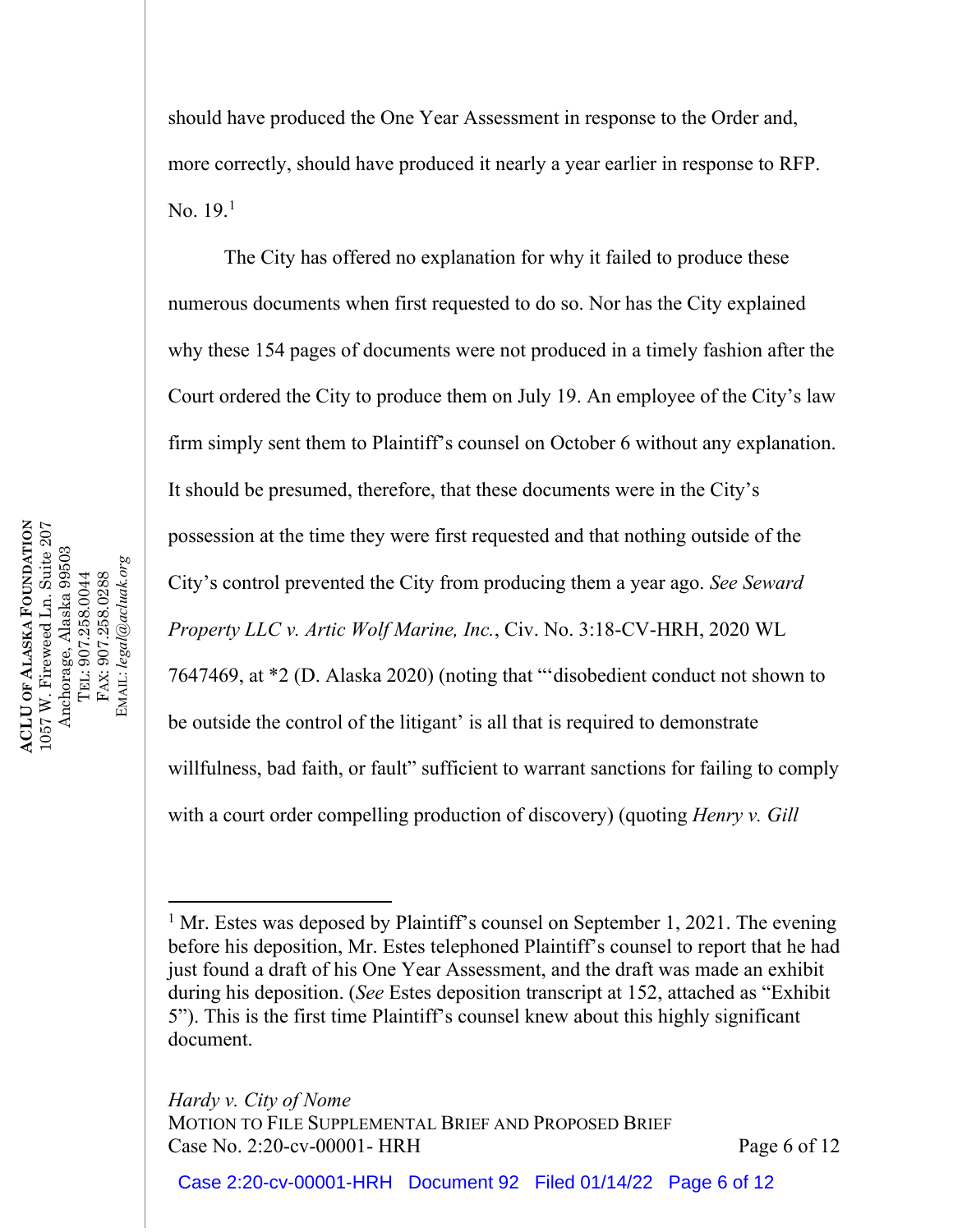should have produced the One Year Assessment in response to the Order and, more correctly, should have produced it nearly a year earlier in response to RFP. No. [1](#page-5-0)9.<sup>1</sup>

The City has offered no explanation for why it failed to produce these numerous documents when first requested to do so. Nor has the City explained why these 154 pages of documents were not produced in a timely fashion after the Court ordered the City to produce them on July 19. An employee of the City's law firm simply sent them to Plaintiff's counsel on October 6 without any explanation. It should be presumed, therefore, that these documents were in the City's possession at the time they were first requested and that nothing outside of the City's control prevented the City from producing them a year ago. *See Seward Property LLC v. Artic Wolf Marine, Inc.*, Civ. No. 3:18-CV-HRH, 2020 WL 7647469, at \*2 (D. Alaska 2020) (noting that "'disobedient conduct not shown to be outside the control of the litigant' is all that is required to demonstrate willfulness, bad faith, or fault" sufficient to warrant sanctions for failing to comply with a court order compelling production of discovery) (quoting *Henry v. Gill* 

*Hardy v. City of Nome*

<span id="page-5-0"></span><sup>&</sup>lt;sup>1</sup> Mr. Estes was deposed by Plaintiff's counsel on September 1, 2021. The evening before his deposition, Mr. Estes telephoned Plaintiff's counsel to report that he had just found a draft of his One Year Assessment, and the draft was made an exhibit during his deposition. (*See* Estes deposition transcript at 152, attached as "Exhibit 5"). This is the first time Plaintiff's counsel knew about this highly significant document.

MOTION TO FILE SUPPLEMENTAL BRIEF AND PROPOSED BRIEF Case No. 2:20-cv-00001- HRH Page 6 of 12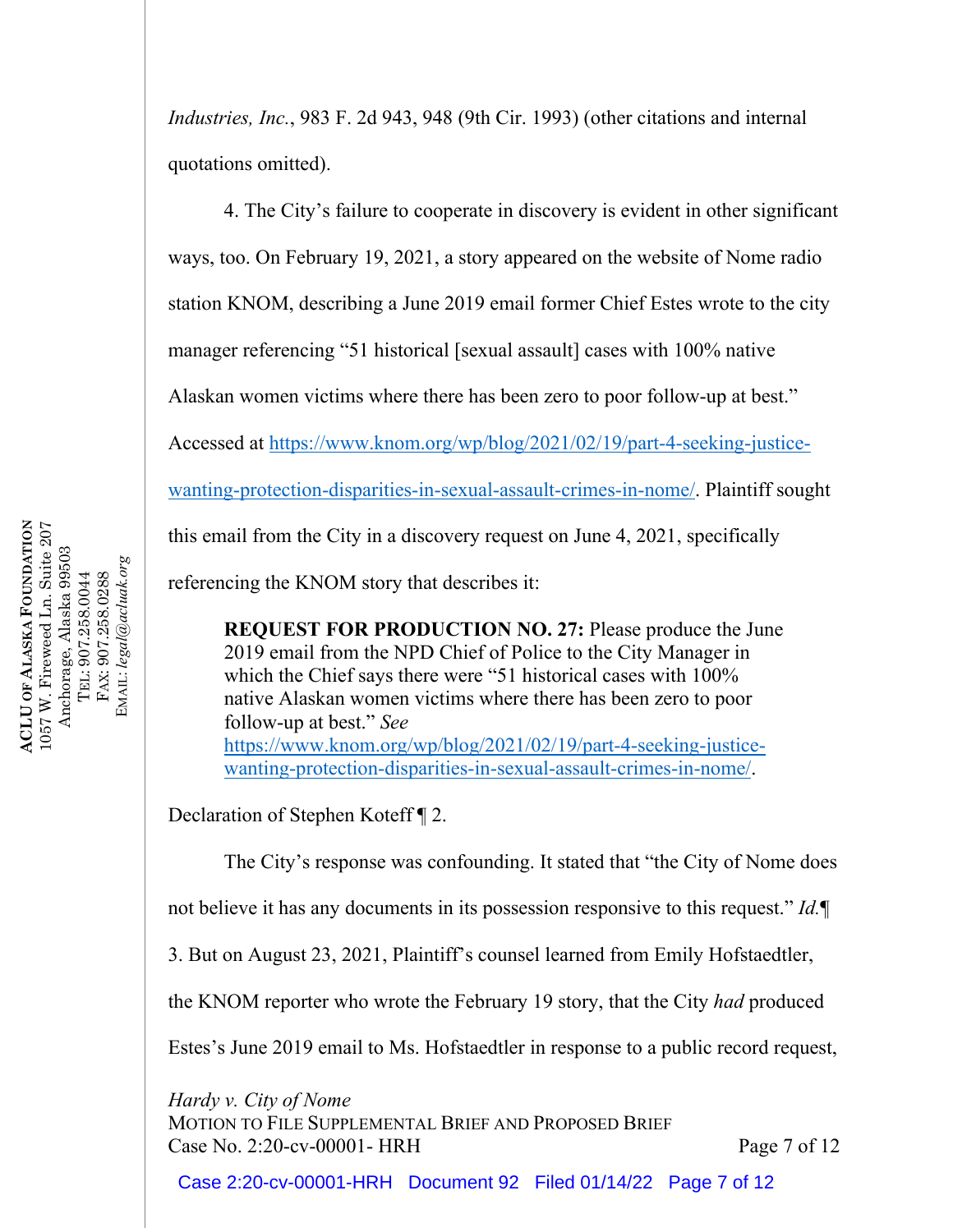*Industries, Inc.*, 983 F. 2d 943, 948 (9th Cir. 1993) (other citations and internal quotations omitted).

4. The City's failure to cooperate in discovery is evident in other significant ways, too. On February 19, 2021, a story appeared on the website of Nome radio station KNOM, describing a June 2019 email former Chief Estes wrote to the city manager referencing "51 historical [sexual assault] cases with 100% native Alaskan women victims where there has been zero to poor follow-up at best." Accessed at [https://www.knom.org/wp/blog/2021/02/19/part-4-seeking-justice](https://www.knom.org/wp/blog/2021/02/19/part-4-seeking-justice-wanting-protection-disparities-in-sexual-assault-crimes-in-nome/)[wanting-protection-disparities-in-sexual-assault-crimes-in-nome/.](https://www.knom.org/wp/blog/2021/02/19/part-4-seeking-justice-wanting-protection-disparities-in-sexual-assault-crimes-in-nome/) Plaintiff sought

this email from the City in a discovery request on June 4, 2021, specifically

referencing the KNOM story that describes it:

**REQUEST FOR PRODUCTION NO. 27:** Please produce the June 2019 email from the NPD Chief of Police to the City Manager in which the Chief says there were "51 historical cases with 100% native Alaskan women victims where there has been zero to poor follow-up at best." *See*  [https://www.knom.org/wp/blog/2021/02/19/part-4-seeking-justice](https://www.knom.org/wp/blog/2021/02/19/part-4-seeking-justice-wanting-protection-disparities-in-sexual-assault-crimes-in-nome/)[wanting-protection-disparities-in-sexual-assault-crimes-in-nome/.](https://www.knom.org/wp/blog/2021/02/19/part-4-seeking-justice-wanting-protection-disparities-in-sexual-assault-crimes-in-nome/)

Declaration of Stephen Koteff ¶ 2.

The City's response was confounding. It stated that "the City of Nome does

not believe it has any documents in its possession responsive to this request." *Id.*¶

3. But on August 23, 2021, Plaintiff's counsel learned from Emily Hofstaedtler,

the KNOM reporter who wrote the February 19 story, that the City *had* produced

Estes's June 2019 email to Ms. Hofstaedtler in response to a public record request,

*Hardy v. City of Nome*

MOTION TO FILE SUPPLEMENTAL BRIEF AND PROPOSED BRIEF Case No. 2:20-cv-00001- HRH Page 7 of 12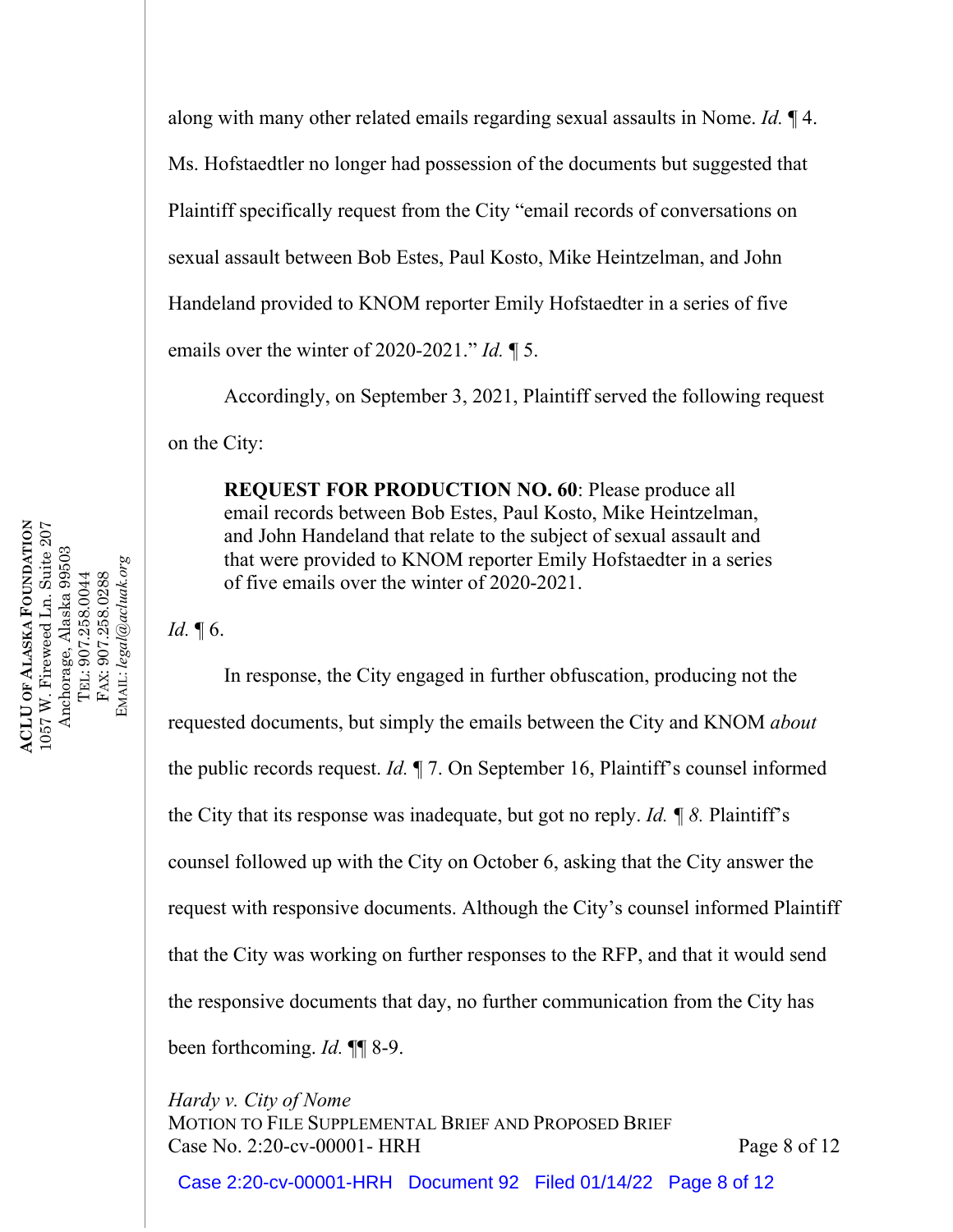along with many other related emails regarding sexual assaults in Nome. *Id.* ¶ 4. Ms. Hofstaedtler no longer had possession of the documents but suggested that Plaintiff specifically request from the City "email records of conversations on sexual assault between Bob Estes, Paul Kosto, Mike Heintzelman, and John Handeland provided to KNOM reporter Emily Hofstaedter in a series of five emails over the winter of 2020-2021." *Id.* ¶ 5.

Accordingly, on September 3, 2021, Plaintiff served the following request on the City:

**REQUEST FOR PRODUCTION NO. 60**: Please produce all email records between Bob Estes, Paul Kosto, Mike Heintzelman, and John Handeland that relate to the subject of sexual assault and that were provided to KNOM reporter Emily Hofstaedter in a series of five emails over the winter of 2020-2021.

*Id.* 16.

In response, the City engaged in further obfuscation, producing not the requested documents, but simply the emails between the City and KNOM *about* the public records request. *Id.* ¶ 7. On September 16, Plaintiff's counsel informed the City that its response was inadequate, but got no reply. *Id. ¶ 8.* Plaintiff's counsel followed up with the City on October 6, asking that the City answer the request with responsive documents. Although the City's counsel informed Plaintiff that the City was working on further responses to the RFP, and that it would send the responsive documents that day, no further communication from the City has been forthcoming. *Id.* ¶¶ 8-9.

*Hardy v. City of Nome* MOTION TO FILE SUPPLEMENTAL BRIEF AND PROPOSED BRIEF Case No. 2:20-cv-00001- HRH Page 8 of 12

Case 2:20-cv-00001-HRH Document 92 Filed 01/14/22 Page 8 of 12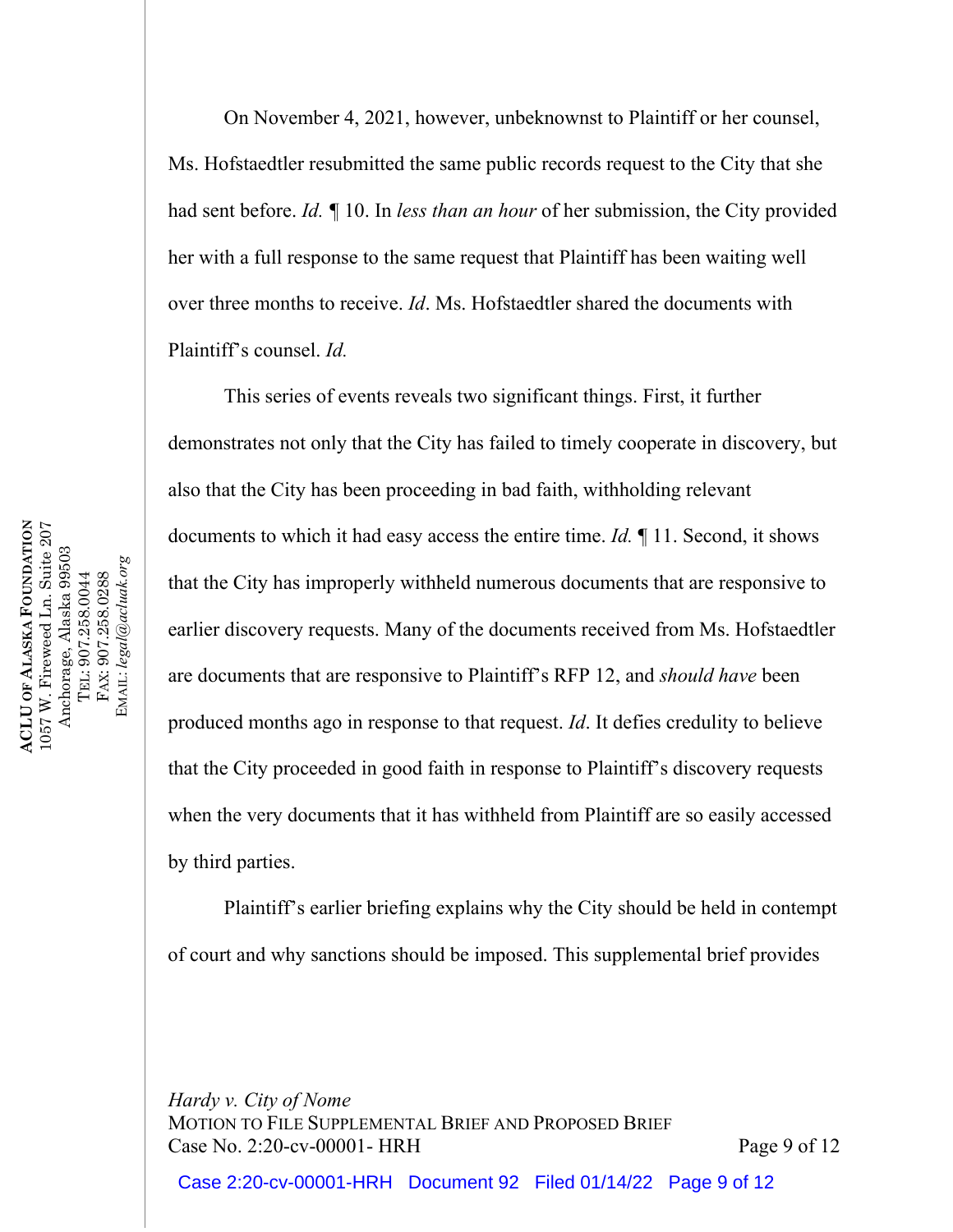On November 4, 2021, however, unbeknownst to Plaintiff or her counsel, Ms. Hofstaedtler resubmitted the same public records request to the City that she had sent before. *Id. ¶* 10. In *less than an hour* of her submission, the City provided her with a full response to the same request that Plaintiff has been waiting well over three months to receive. *Id*. Ms. Hofstaedtler shared the documents with Plaintiff's counsel. *Id.*

This series of events reveals two significant things. First, it further demonstrates not only that the City has failed to timely cooperate in discovery, but also that the City has been proceeding in bad faith, withholding relevant documents to which it had easy access the entire time. *Id.* ¶ 11. Second, it shows that the City has improperly withheld numerous documents that are responsive to earlier discovery requests. Many of the documents received from Ms. Hofstaedtler are documents that are responsive to Plaintiff's RFP 12, and *should have* been produced months ago in response to that request. *Id*. It defies credulity to believe that the City proceeded in good faith in response to Plaintiff's discovery requests when the very documents that it has withheld from Plaintiff are so easily accessed by third parties.

Plaintiff's earlier briefing explains why the City should be held in contempt of court and why sanctions should be imposed. This supplemental brief provides

*Hardy v. City of Nome* MOTION TO FILE SUPPLEMENTAL BRIEF AND PROPOSED BRIEF Case No. 2:20-cv-00001- HRH Page 9 of 12

**ACLU OF ALASKA FOUNDATION FOUNDATION** 1057 W. Fireweed Ln. Suite 207<br>Anchorage, Alaska 99503 1057 W. Fireweed Ln. Suite 207 Anchorage, Alaska 99503 EMAIL: legal@acluak.org EMAIL: *legal@acluak.org* FAX: 907.258.0288 TEL: 907.258.0044 TEL: 907.258.0044 FAX: 907.258.0288 **ALASKA ACLU OF** 

Case 2:20-cv-00001-HRH Document 92 Filed 01/14/22 Page 9 of 12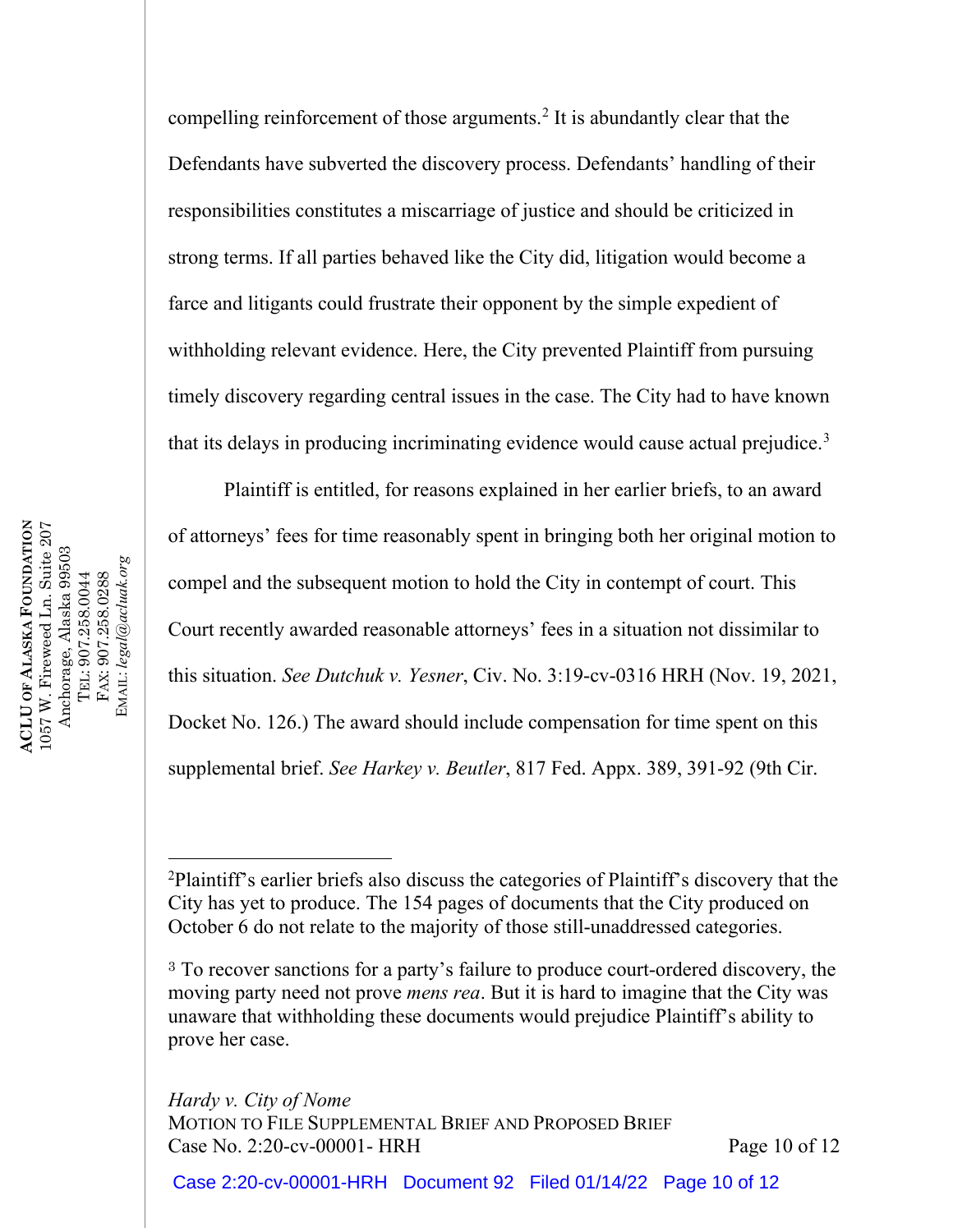compelling reinforcement of those arguments.[2](#page-9-0) It is abundantly clear that the Defendants have subverted the discovery process. Defendants' handling of their responsibilities constitutes a miscarriage of justice and should be criticized in strong terms. If all parties behaved like the City did, litigation would become a farce and litigants could frustrate their opponent by the simple expedient of withholding relevant evidence. Here, the City prevented Plaintiff from pursuing timely discovery regarding central issues in the case. The City had to have known that its delays in producing incriminating evidence would cause actual prejudice.<sup>[3](#page-9-1)</sup>

Plaintiff is entitled, for reasons explained in her earlier briefs, to an award of attorneys' fees for time reasonably spent in bringing both her original motion to compel and the subsequent motion to hold the City in contempt of court. This Court recently awarded reasonable attorneys' fees in a situation not dissimilar to this situation. *See Dutchuk v. Yesner*, Civ. No. 3:19-cv-0316 HRH (Nov. 19, 2021, Docket No. 126.) The award should include compensation for time spent on this supplemental brief. *See Harkey v. Beutler*, 817 Fed. Appx. 389, 391-92 (9th Cir.

*Hardy v. City of Nome* MOTION TO FILE SUPPLEMENTAL BRIEF AND PROPOSED BRIEF Case No. 2:20-cv-00001- HRH Page 10 of 12

Case 2:20-cv-00001-HRH Document 92 Filed 01/14/22 Page 10 of 12

1057 W. Fireweed Ln. Suite 207<br>Anchorage, Alaska 99503<br>TEL: 907.258.0044 **ACLU OF ALASKA FOUNDATION FOUNDATION** 1057 W. Fireweed Ln. Suite 207 Anchorage, Alaska 99503 EMAIL: legal@acluak.org EMAIL: *legal@acluak.org* FAX: 907.258.0288 TEL: 907.258.0044 FAX: 907.258.0288 **ALASKA ACLU OF** 

<span id="page-9-0"></span><sup>&</sup>lt;sup>2</sup>Plaintiff's earlier briefs also discuss the categories of Plaintiff's discovery that the City has yet to produce. The 154 pages of documents that the City produced on October 6 do not relate to the majority of those still-unaddressed categories.

<span id="page-9-1"></span><sup>&</sup>lt;sup>3</sup> To recover sanctions for a party's failure to produce court-ordered discovery, the moving party need not prove *mens rea*. But it is hard to imagine that the City was unaware that withholding these documents would prejudice Plaintiff's ability to prove her case.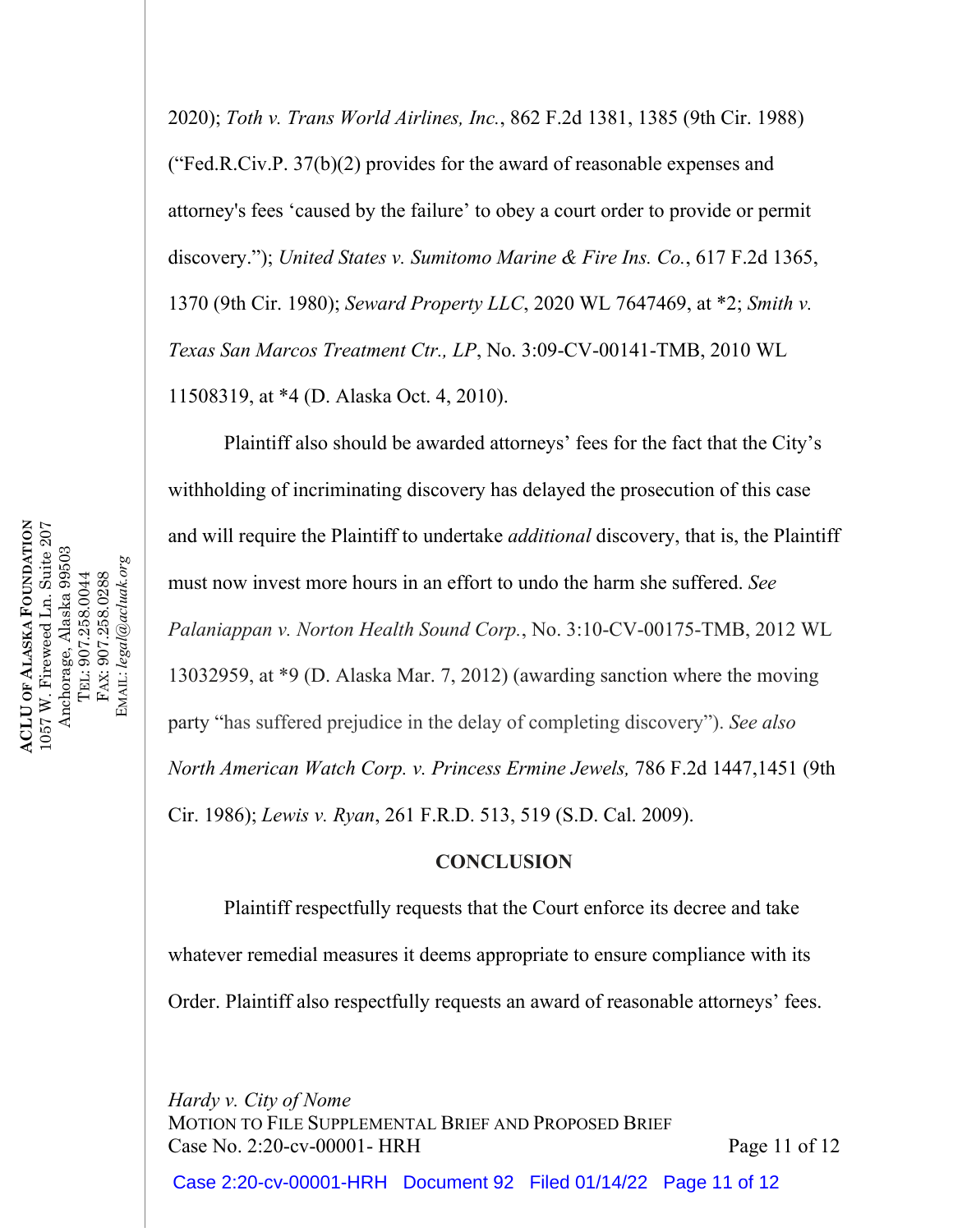2020); *Toth v. Trans World Airlines, Inc.*, 862 F.2d 1381, 1385 (9th Cir. 1988) ("Fed.R.Civ.P. 37(b)(2) provides for the award of reasonable expenses and attorney's fees 'caused by the failure' to obey a court order to provide or permit discovery."); *United States v. Sumitomo Marine & Fire Ins. Co.*, 617 F.2d 1365, 1370 (9th Cir. 1980); *Seward Property LLC*, 2020 WL 7647469, at \*2; *Smith v. Texas San Marcos Treatment Ctr., LP*, No. 3:09-CV-00141-TMB, 2010 WL 11508319, at \*4 (D. Alaska Oct. 4, 2010).

Plaintiff also should be awarded attorneys' fees for the fact that the City's withholding of incriminating discovery has delayed the prosecution of this case and will require the Plaintiff to undertake *additional* discovery, that is, the Plaintiff must now invest more hours in an effort to undo the harm she suffered. *See Palaniappan v. Norton Health Sound Corp.*, No. 3:10-CV-00175-TMB, 2012 WL 13032959, at \*9 (D. Alaska Mar. 7, 2012) (awarding sanction where the moving party "has suffered prejudice in the delay of completing discovery"). *See also North American Watch Corp. v. Princess Ermine Jewels,* 786 F.2d 1447,1451 (9th Cir. 1986); *Lewis v. Ryan*, 261 F.R.D. 513, 519 (S.D. Cal. 2009).

## **CONCLUSION**

Plaintiff respectfully requests that the Court enforce its decree and take whatever remedial measures it deems appropriate to ensure compliance with its Order. Plaintiff also respectfully requests an award of reasonable attorneys' fees.

*Hardy v. City of Nome* MOTION TO FILE SUPPLEMENTAL BRIEF AND PROPOSED BRIEF Case No. 2:20-cv-00001- HRH Page 11 of 12

Case 2:20-cv-00001-HRH Document 92 Filed 01/14/22 Page 11 of 12